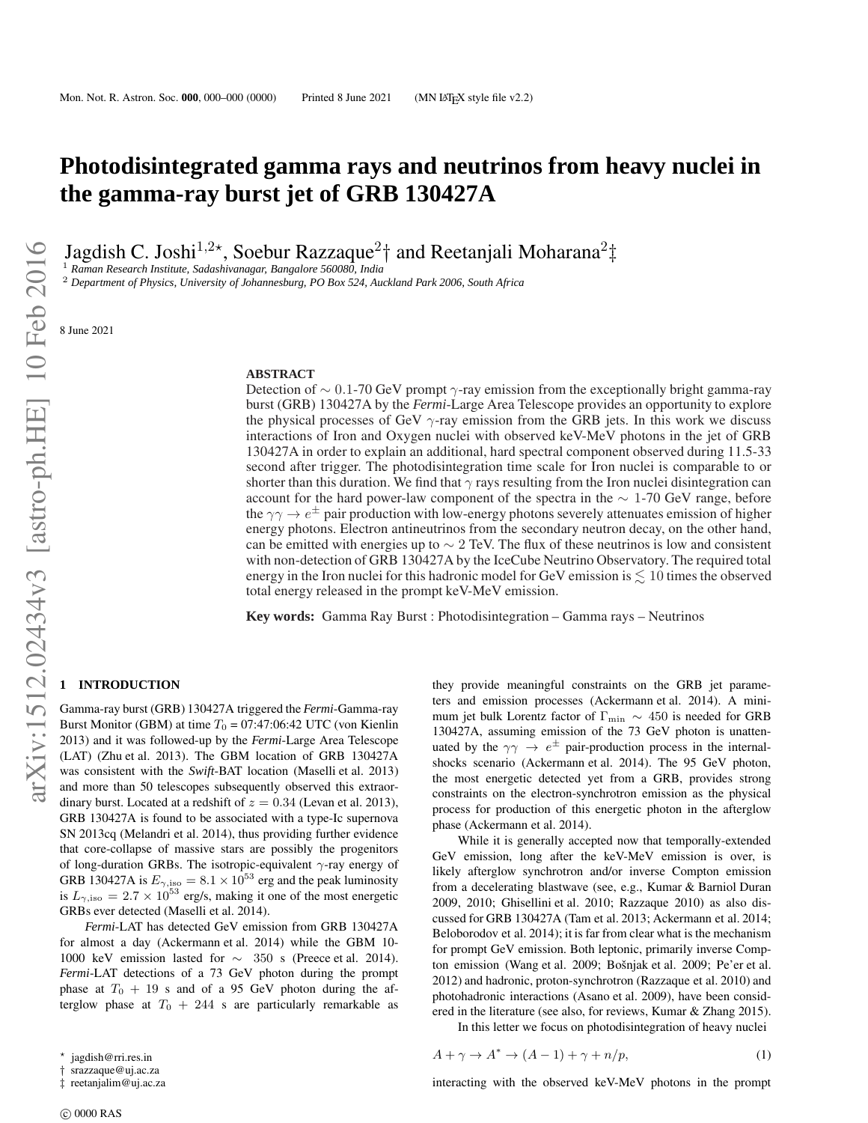# **Photodisintegrated gamma rays and neutrinos from heavy nuclei in the gamma-ray burst jet of GRB 130427A**

Jagdish C. Joshi<sup>1,2\*</sup>, Soebur Razzaque<sup>2</sup>† and Reetanjali Moharana<sup>2</sup>‡

<sup>1</sup> *Raman Research Institute, Sadashivanagar, Bangalore 560080, India*

<sup>2</sup> *Department of Physics, University of Johannesburg, PO Box 524, Auckland Park 2006, South Africa*

8 June 2021

## **ABSTRACT**

Detection of  $\sim 0.1$ -70 GeV prompt  $\gamma$ -ray emission from the exceptionally bright gamma-ray burst (GRB) 130427A by the *Fermi*-Large Area Telescope provides an opportunity to explore the physical processes of GeV  $\gamma$ -ray emission from the GRB jets. In this work we discuss interactions of Iron and Oxygen nuclei with observed keV-MeV photons in the jet of GRB 130427A in order to explain an additional, hard spectral component observed during 11.5-33 second after trigger. The photodisintegration time scale for Iron nuclei is comparable to or shorter than this duration. We find that  $\gamma$  rays resulting from the Iron nuclei disintegration can account for the hard power-law component of the spectra in the  $\sim 1\text{-}70 \text{ GeV}$  range, before the  $\gamma\gamma \to e^{\pm}$  pair production with low-energy photons severely attenuates emission of higher energy photons. Electron antineutrinos from the secondary neutron decay, on the other hand, can be emitted with energies up to  $\sim 2$  TeV. The flux of these neutrinos is low and consistent with non-detection of GRB 130427A by the IceCube Neutrino Observatory. The required total energy in the Iron nuclei for this hadronic model for GeV emission is  $\leq 10$  times the observed total energy released in the prompt keV-MeV emission.

**Key words:** Gamma Ray Burst : Photodisintegration – Gamma rays – Neutrinos

### **1 INTRODUCTION**

Gamma-ray burst (GRB) 130427A triggered the *Fermi*-Gamma-ray Burst Monitor (GBM) at time  $T_0 = 07:47:06:42$  UTC (von Kienlin 2013) and it was followed-up by the *Fermi*-Large Area Telescope (LAT) (Zhu et al. 2013). The GBM location of GRB 130427A was consistent with the *Swift*-BAT location (Maselli et al. 2013) and more than 50 telescopes subsequently observed this extraordinary burst. Located at a redshift of  $z = 0.34$  (Levan et al. 2013), GRB 130427A is found to be associated with a type-Ic supernova SN 2013cq (Melandri et al. 2014), thus providing further evidence that core-collapse of massive stars are possibly the progenitors of long-duration GRBs. The isotropic-equivalent  $\gamma$ -ray energy of GRB 130427A is  $E_{\gamma,iso} = 8.1 \times 10^{53}$  erg and the peak luminosity is  $L_{\gamma,iso} = 2.7 \times 10^{53}$  erg/s, making it one of the most energetic GRBs ever detected (Maselli et al. 2014).

*Fermi*-LAT has detected GeV emission from GRB 130427A for almost a day (Ackermann et al. 2014) while the GBM 10- 1000 keV emission lasted for ∼ 350 s (Preece et al. 2014). *Fermi*-LAT detections of a 73 GeV photon during the prompt phase at  $T_0 + 19$  s and of a 95 GeV photon during the afterglow phase at  $T_0 + 244$  s are particularly remarkable as

they provide meaningful constraints on the GRB jet parameters and emission processes (Ackermann et al. 2014). A minimum jet bulk Lorentz factor of Γmin ∼ 450 is needed for GRB 130427A, assuming emission of the 73 GeV photon is unattenuated by the  $\gamma\gamma \rightarrow e^{\pm}$  pair-production process in the internalshocks scenario (Ackermann et al. 2014). The 95 GeV photon, the most energetic detected yet from a GRB, provides strong constraints on the electron-synchrotron emission as the physical process for production of this energetic photon in the afterglow phase (Ackermann et al. 2014).

While it is generally accepted now that temporally-extended GeV emission, long after the keV-MeV emission is over, is likely afterglow synchrotron and/or inverse Compton emission from a decelerating blastwave (see, e.g., Kumar & Barniol Duran 2009, 2010; Ghisellini et al. 2010; Razzaque 2010) as also discussed for GRB 130427A (Tam et al. 2013; Ackermann et al. 2014; Beloborodov et al. 2014); it is far from clear what is the mechanism for prompt GeV emission. Both leptonic, primarily inverse Compton emission (Wang et al. 2009; Bošnjak et al. 2009; Pe'er et al. 2012) and hadronic, proton-synchrotron (Razzaque et al. 2010) and photohadronic interactions (Asano et al. 2009), have been considered in the literature (see also, for reviews, Kumar & Zhang 2015).

In this letter we focus on photodisintegration of heavy nuclei

$$
A + \gamma \to A^* \to (A - 1) + \gamma + n/p,\tag{1}
$$

interacting with the observed keV-MeV photons in the prompt

<sup>⋆</sup> jagdish@rri.res.in

srazzaque@uj.ac.za

<sup>‡</sup> reetanjalim@uj.ac.za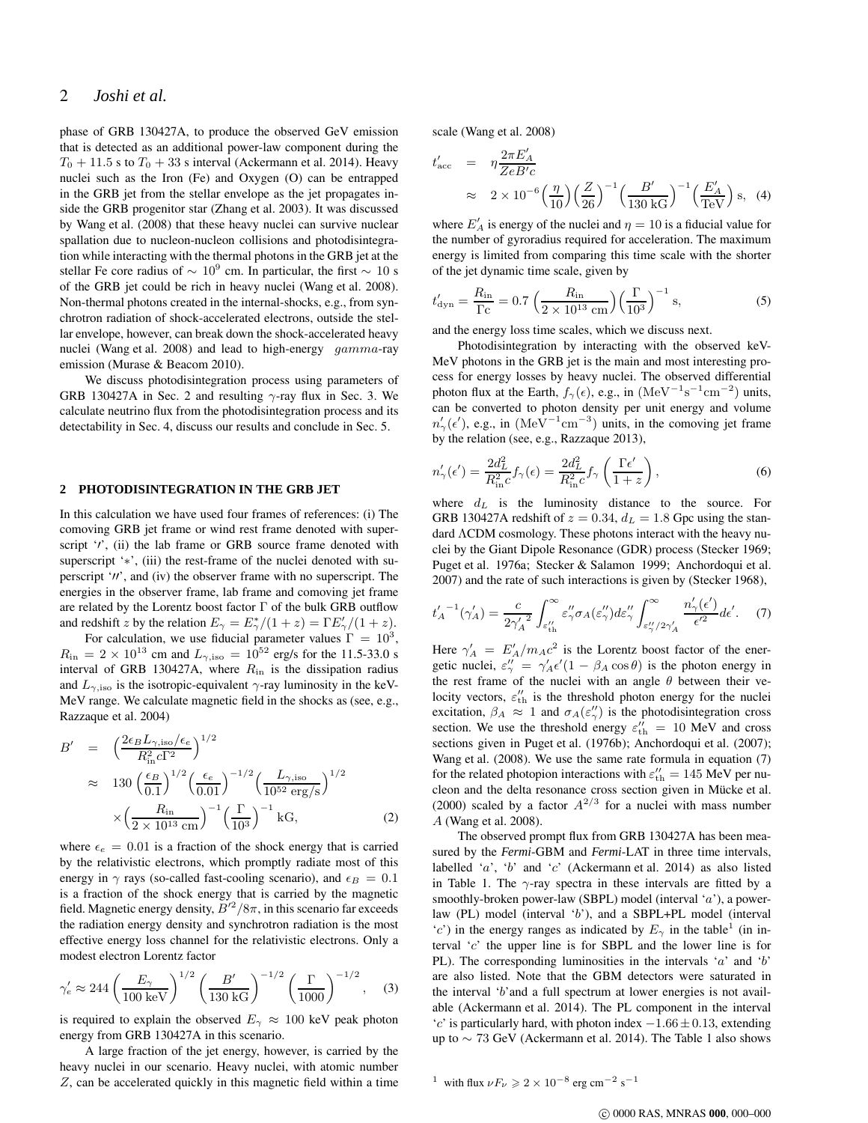# 2 *Joshi et al.*

phase of GRB 130427A, to produce the observed GeV emission that is detected as an additional power-law component during the  $T_0 + 11.5$  s to  $T_0 + 33$  s interval (Ackermann et al. 2014). Heavy nuclei such as the Iron (Fe) and Oxygen (O) can be entrapped in the GRB jet from the stellar envelope as the jet propagates inside the GRB progenitor star (Zhang et al. 2003). It was discussed by Wang et al. (2008) that these heavy nuclei can survive nuclear spallation due to nucleon-nucleon collisions and photodisintegration while interacting with the thermal photons in the GRB jet at the stellar Fe core radius of  $\sim 10^9$  cm. In particular, the first  $\sim 10$  s of the GRB jet could be rich in heavy nuclei (Wang et al. 2008). Non-thermal photons created in the internal-shocks, e.g., from synchrotron radiation of shock-accelerated electrons, outside the stellar envelope, however, can break down the shock-accelerated heavy nuclei (Wang et al. 2008) and lead to high-energy gamma-ray emission (Murase & Beacom 2010).

We discuss photodisintegration process using parameters of GRB 130427A in Sec. 2 and resulting  $\gamma$ -ray flux in Sec. 3. We calculate neutrino flux from the photodisintegration process and its detectability in Sec. 4, discuss our results and conclude in Sec. 5.

#### **2 PHOTODISINTEGRATION IN THE GRB JET**

In this calculation we have used four frames of references: (i) The comoving GRB jet frame or wind rest frame denoted with superscript '*'*', (ii) the lab frame or GRB source frame denoted with superscript '\*', (iii) the rest-frame of the nuclei denoted with superscript '′′', and (iv) the observer frame with no superscript. The energies in the observer frame, lab frame and comoving jet frame are related by the Lorentz boost factor  $\Gamma$  of the bulk GRB outflow and redshift z by the relation  $E_{\gamma} = E_{\gamma}^{*}/(1 + z) = \Gamma E_{\gamma}'/(1 + z)$ .

For calculation, we use fiducial parameter values  $\Gamma = 10^3$ ,  $R_{\rm in} = 2 \times 10^{13}$  cm and  $L_{\gamma, \rm iso} = 10^{52}$  erg/s for the 11.5-33.0 s interval of GRB 130427A, where  $R_{\text{in}}$  is the dissipation radius and  $L_{\gamma,iso}$  is the isotropic-equivalent  $\gamma$ -ray luminosity in the keV-MeV range. We calculate magnetic field in the shocks as (see, e.g., Razzaque et al. 2004)

$$
B' = \left(\frac{2\epsilon_B L_{\gamma,\text{iso}}/\epsilon_e}{R_{\text{in}}^2 c \Gamma^2}\right)^{1/2}
$$
  
\n
$$
\approx 130 \left(\frac{\epsilon_B}{0.1}\right)^{1/2} \left(\frac{\epsilon_e}{0.01}\right)^{-1/2} \left(\frac{L_{\gamma,\text{iso}}}{10^{52} \text{ erg/s}}\right)^{1/2}
$$
  
\n
$$
\times \left(\frac{R_{\text{in}}}{2 \times 10^{13} \text{ cm}}\right)^{-1} \left(\frac{\Gamma}{10^3}\right)^{-1} \text{kG}, \tag{2}
$$

where  $\epsilon_e = 0.01$  is a fraction of the shock energy that is carried by the relativistic electrons, which promptly radiate most of this energy in  $\gamma$  rays (so-called fast-cooling scenario), and  $\epsilon_B = 0.1$ is a fraction of the shock energy that is carried by the magnetic field. Magnetic energy density,  $B'^2/8\pi$ , in this scenario far exceeds the radiation energy density and synchrotron radiation is the most effective energy loss channel for the relativistic electrons. Only a modest electron Lorentz factor

$$
\gamma'_e \approx 244 \left(\frac{E_\gamma}{100 \text{ keV}}\right)^{1/2} \left(\frac{B'}{130 \text{ kG}}\right)^{-1/2} \left(\frac{\Gamma}{1000}\right)^{-1/2},
$$
 (3)

is required to explain the observed  $E_{\gamma} \approx 100 \text{ keV}$  peak photon energy from GRB 130427A in this scenario.

A large fraction of the jet energy, however, is carried by the heavy nuclei in our scenario. Heavy nuclei, with atomic number Z, can be accelerated quickly in this magnetic field within a time scale (Wang et al. 2008)

$$
t'_{\text{acc}} = \eta \frac{2\pi E'_A}{ZeB'c}
$$
  
 
$$
\approx 2 \times 10^{-6} \left(\frac{\eta}{10}\right) \left(\frac{Z}{26}\right)^{-1} \left(\frac{B'}{130 \text{ kG}}\right)^{-1} \left(\frac{E'_A}{\text{TeV}}\right) \text{s}, \text{ (4)}
$$

where  $E'_A$  is energy of the nuclei and  $\eta = 10$  is a fiducial value for the number of gyroradius required for acceleration. The maximum energy is limited from comparing this time scale with the shorter of the jet dynamic time scale, given by

$$
t'_{\rm dyn} = \frac{R_{\rm in}}{\Gamma c} = 0.7 \left( \frac{R_{\rm in}}{2 \times 10^{13} \text{ cm}} \right) \left( \frac{\Gamma}{10^3} \right)^{-1} \text{s},\tag{5}
$$

and the energy loss time scales, which we discuss next.

Photodisintegration by interacting with the observed keV-MeV photons in the GRB jet is the main and most interesting process for energy losses by heavy nuclei. The observed differential photon flux at the Earth,  $f_{\gamma}(\epsilon)$ , e.g., in  $(MeV^{-1}s^{-1}cm^{-2})$  units, can be converted to photon density per unit energy and volume  $n'_{\gamma}(\epsilon')$ , e.g., in  $(Me\tilde{V}^{-1}cm^{-3})$  units, in the comoving jet frame by the relation (see, e.g., Razzaque 2013),

$$
n'_{\gamma}(\epsilon') = \frac{2d_L^2}{R_{\rm in}^2 c} f_{\gamma}(\epsilon) = \frac{2d_L^2}{R_{\rm in}^2 c} f_{\gamma} \left(\frac{\Gamma \epsilon'}{1+z}\right),\tag{6}
$$

where  $d<sub>L</sub>$  is the luminosity distance to the source. For GRB 130427A redshift of  $z = 0.34$ ,  $d<sub>L</sub> = 1.8$  Gpc using the standard ΛCDM cosmology. These photons interact with the heavy nuclei by the Giant Dipole Resonance (GDR) process (Stecker 1969; Puget et al. 1976a; Stecker & Salamon 1999; Anchordoqui et al. 2007) and the rate of such interactions is given by (Stecker 1968),

$$
t'_A{}^{-1}(\gamma'_A) = \frac{c}{2\gamma'_A{}^2} \int_{\varepsilon''_{th}}^{\infty} \varepsilon''_\gamma \sigma_A(\varepsilon''_\gamma) d\varepsilon''_\gamma \int_{\varepsilon''_\gamma/2\gamma'_A}^{\infty} \frac{n'_\gamma(\epsilon')}{\epsilon'^2} d\epsilon'. \tag{7}
$$

Here  $\gamma'_A = E'_A/m_A c^2$  is the Lorentz boost factor of the energetic nuclei,  $\varepsilon_{\gamma}^{\prime\prime} = \gamma_{A}^{\prime} \varepsilon^{\prime} (1 - \beta_{A} \cos \theta)$  is the photon energy in the rest frame of the nuclei with an angle  $\theta$  between their velocity vectors,  $\varepsilon_{\text{th}}^{\prime\prime}$  is the threshold photon energy for the nuclei excitation,  $\beta_A \approx 1$  and  $\sigma_A(\epsilon''_\gamma)$  is the photodisintegration cross section. We use the threshold energy  $\varepsilon_{\text{th}}^{\prime\prime}$  = 10 MeV and cross sections given in Puget et al. (1976b); Anchordoqui et al. (2007); Wang et al. (2008). We use the same rate formula in equation (7) for the related photopion interactions with  $\varepsilon_{\rm th}^{\prime\prime} = 145$  MeV per nucleon and the delta resonance cross section given in Mücke et al. (2000) scaled by a factor  $A^{2/3}$  for a nuclei with mass number A (Wang et al. 2008).

The observed prompt flux from GRB 130427A has been measured by the *Fermi*-GBM and *Fermi*-LAT in three time intervals, labelled 'a', 'b' and 'c' (Ackermann et al. 2014) as also listed in Table 1. The  $\gamma$ -ray spectra in these intervals are fitted by a smoothly-broken power-law (SBPL) model (interval 'a'), a powerlaw (PL) model (interval 'b'), and a SBPL+PL model (interval 'c') in the energy ranges as indicated by  $E_{\gamma}$  in the table<sup>1</sup> (in interval 'c' the upper line is for SBPL and the lower line is for PL). The corresponding luminosities in the intervals  $a'$  and  $b'$ are also listed. Note that the GBM detectors were saturated in the interval 'b'and a full spectrum at lower energies is not available (Ackermann et al. 2014). The PL component in the interval  $'c'$  is particularly hard, with photon index  $-1.66 \pm 0.13$ , extending up to ∼ 73 GeV (Ackermann et al. 2014). The Table 1 also shows

<sup>1</sup> with flux  $\nu F_{\nu} \geqslant 2 \times 10^{-8}$  erg cm<sup>-2</sup> s<sup>-1</sup>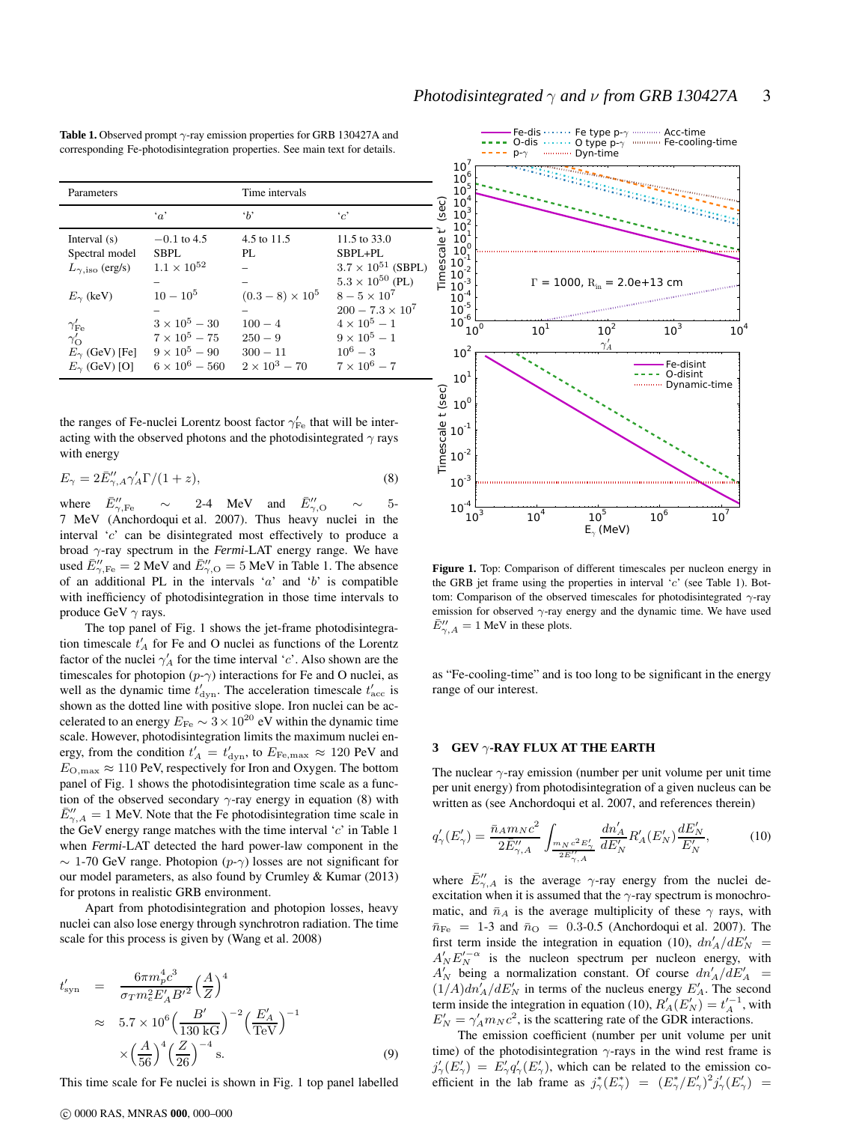| <b>Table 1.</b> Observed prompt $\gamma$ -ray emission properties for GRB 130427A and |
|---------------------------------------------------------------------------------------|
| corresponding Fe-photodisintegration properties. See main text for details.           |

| Parameters                                             |                       | Time intervals        |                               |
|--------------------------------------------------------|-----------------------|-----------------------|-------------------------------|
|                                                        | $\cdot_a$             | $\cdot_b$             | $\cdot$ <sup>'</sup> $\sim$ ' |
| Interval $(s)$                                         | $-0.1$ to 4.5         | 4.5 to 11.5           | 11.5 to 33.0                  |
| Spectral model                                         | <b>SBPL</b>           | PI.                   | SBPL+PL                       |
| $L_{\gamma, \text{iso}}$ (erg/s)                       | $1.1 \times 10^{52}$  |                       | $3.7 \times 10^{51}$ (SBPL)   |
|                                                        |                       |                       | $5.3 \times 10^{50}$ (PL)     |
| $E_{\gamma}$ (keV)                                     | $10 - 10^5$           | $(0.3-8) \times 10^5$ | $8 - 5 \times 10^{7}$         |
|                                                        |                       |                       | $200 - 7.3 \times 10^7$       |
| $\gamma^\prime_\mathrm{Fe} \ \gamma^\prime_\mathrm{O}$ | $3 \times 10^5 - 30$  | $100 - 4$             | $4 \times 10^5 - 1$           |
|                                                        | $7 \times 10^5 - 75$  | $250 - 9$             | $9 \times 10^5 - 1$           |
| $E_{\gamma}$ (GeV) [Fe]                                | $9 \times 10^5 - 90$  | $300 - 11$            | $10^6 - 3$                    |
| $E_{\gamma}$ (GeV) [O]                                 | $6 \times 10^6 - 560$ | $2 \times 10^3 - 70$  | $7 \times 10^6 - 7$           |

the ranges of Fe-nuclei Lorentz boost factor  $\gamma_{\rm Fe}^{\prime}$  that will be interacting with the observed photons and the photodisintegrated  $\gamma$  rays with energy

$$
E_{\gamma} = 2\bar{E}''_{\gamma,A}\gamma'_A\Gamma/(1+z),\tag{8}
$$

where  $\bar{E}^{\prime\prime}_{\gamma,\rm Fe}$  $\psi_{\gamma,\text{Fe}}''$  ~ 2-4 MeV and  $\bar{E}_{\gamma,\text{O}}''$  ~ 5-7 MeV (Anchordoqui et al. 2007). Thus heavy nuclei in the interval 'c' can be disintegrated most effectively to produce a broad γ-ray spectrum in the *Fermi*-LAT energy range. We have used  $\bar{E}''_{\gamma,\text{Fe}} = 2 \text{ MeV}$  and  $\bar{E}''_{\gamma,\text{O}} = 5 \text{ MeV}$  in Table 1. The absence of an additional PL in the intervals 'a' and 'b' is compatible with inefficiency of photodisintegration in those time intervals to produce GeV  $\gamma$  rays.

The top panel of Fig. 1 shows the jet-frame photodisintegration timescale  $t'_{A}$  for Fe and O nuclei as functions of the Lorentz factor of the nuclei  $\gamma'_{A}$  for the time interval 'c'. Also shown are the timescales for photopion  $(p-\gamma)$  interactions for Fe and O nuclei, as well as the dynamic time  $t'_{\text{dyn}}$ . The acceleration timescale  $t'_{\text{acc}}$  is shown as the dotted line with positive slope. Iron nuclei can be accelerated to an energy  $E_{\text{Fe}} \sim 3 \times 10^{20} \text{ eV}$  within the dynamic time scale. However, photodisintegration limits the maximum nuclei energy, from the condition  $t'_A = t'_{\text{dyn}}$ , to  $E_{\text{Fe,max}} \approx 120 \text{ PeV}$  and  $E_{\text{O,max}} \approx 110 \text{ PeV}$ , respectively for Iron and Oxygen. The bottom panel of Fig. 1 shows the photodisintegration time scale as a function of the observed secondary  $\gamma$ -ray energy in equation (8) with  $\bar{E}''_{\gamma,A} = 1$  MeV. Note that the Fe photodisintegration time scale in the GeV energy range matches with the time interval 'c' in Table 1 when *Fermi*-LAT detected the hard power-law component in the  $\sim 1$ -70 GeV range. Photopion  $(p-\gamma)$  losses are not significant for our model parameters, as also found by Crumley & Kumar (2013) for protons in realistic GRB environment.

Apart from photodisintegration and photopion losses, heavy nuclei can also lose energy through synchrotron radiation. The time scale for this process is given by (Wang et al. 2008)

$$
t'_{\rm syn} = \frac{6\pi m_p^4 c^3}{\sigma_T m_e^2 E'_A B'^2} \left(\frac{A}{Z}\right)^4
$$
  
\n
$$
\approx 5.7 \times 10^6 \left(\frac{B'}{130 \text{ kG}}\right)^{-2} \left(\frac{E'_A}{\text{TeV}}\right)^{-1}
$$
  
\n
$$
\times \left(\frac{A}{56}\right)^4 \left(\frac{Z}{26}\right)^{-4} \text{s.}
$$
 (9)

This time scale for Fe nuclei is shown in Fig. 1 top panel labelled



**Figure 1.** Top: Comparison of different timescales per nucleon energy in the GRB jet frame using the properties in interval 'c' (see Table 1). Bottom: Comparison of the observed timescales for photodisintegrated  $\gamma$ -ray emission for observed  $\gamma$ -ray energy and the dynamic time. We have used  $\bar{E}''_{\gamma,A} = 1$  MeV in these plots.

as "Fe-cooling-time" and is too long to be significant in the energy range of our interest.

#### **3 GEV** γ**-RAY FLUX AT THE EARTH**

The nuclear  $\gamma$ -ray emission (number per unit volume per unit time per unit energy) from photodisintegration of a given nucleus can be written as (see Anchordoqui et al. 2007, and references therein)

$$
q'_{\gamma}(E'_{\gamma}) = \frac{\bar{n}_A m_N c^2}{2\bar{E}''_{\gamma,A}} \int_{\frac{m_N c^2 E'_{\gamma}}{2\bar{E}''_{\gamma,A}}} \frac{dn'_A}{dE'_N} R'_A(E'_N) \frac{dE'_N}{E'_N},
$$
(10)

where  $\bar{E}^{\prime\prime}_{\gamma,A}$  is the average  $\gamma$ -ray energy from the nuclei deexcitation when it is assumed that the  $\gamma$ -ray spectrum is monochromatic, and  $\bar{n}_A$  is the average multiplicity of these  $\gamma$  rays, with  $\bar{n}_{\text{Fe}}$  = 1-3 and  $\bar{n}_{\text{O}}$  = 0.3-0.5 (Anchordoqui et al. 2007). The first term inside the integration in equation (10),  $dn'_A/dE'_N$  =  $A'_{N}E'_{N}^{\alpha}$  is the nucleon spectrum per nucleon energy, with  $A'_N$  being a normalization constant. Of course  $dn'_A/dE'_A$  =  $(1/A)dn'_A/dE'_N$  in terms of the nucleus energy  $E'_A$ . The second term inside the integration in equation (10),  $R'_A(E'_N) = t'_A^{-1}$ , with  $E'_N = \gamma'_A m_N c^2$ , is the scattering rate of the GDR interactions.

The emission coefficient (number per unit volume per unit time) of the photodisintegration  $\gamma$ -rays in the wind rest frame is  $j'_{\gamma}(E'_{\gamma}) = \hat{E}'_{\gamma} q'_{\gamma}(E'_{\gamma})$ , which can be related to the emission coefficient in the lab frame as  $j^*_{\gamma}(E^*_{\gamma}) = (E^*_{\gamma}/E'_{\gamma})^2 j'_{\gamma}(E'_{\gamma})$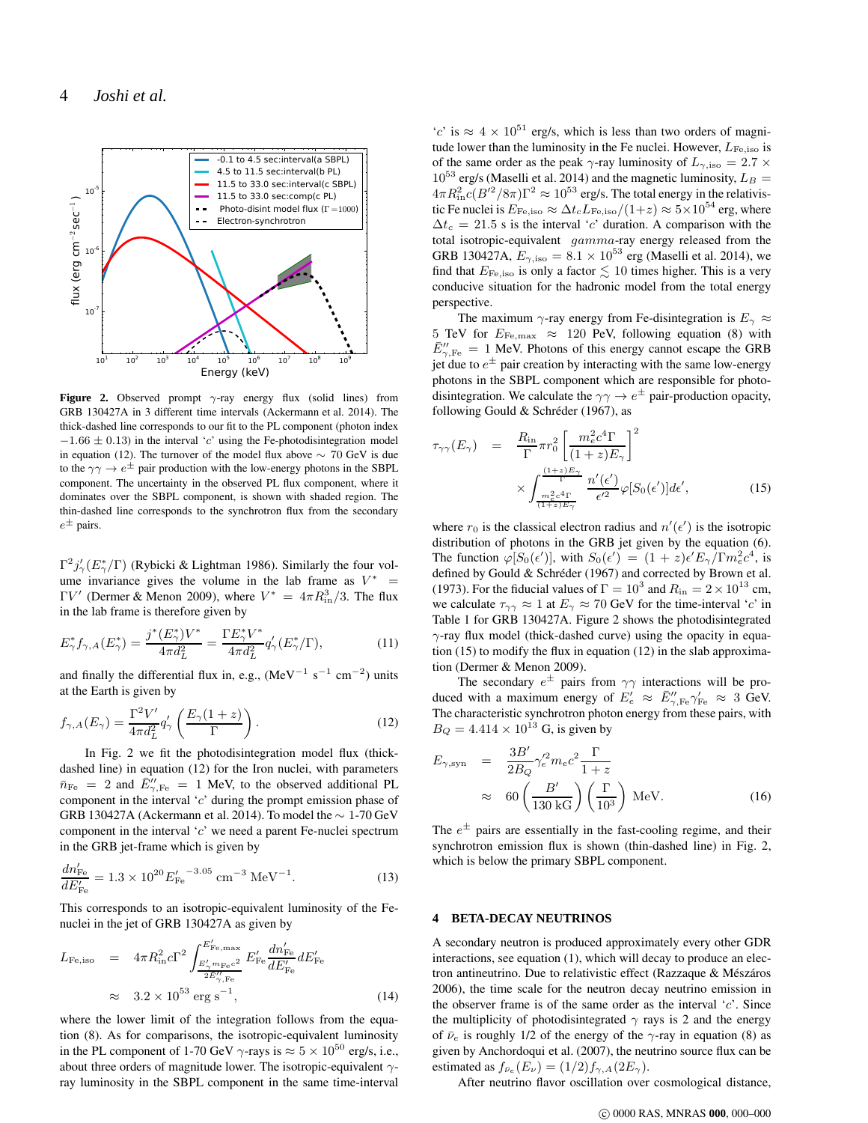

**Figure 2.** Observed prompt γ-ray energy flux (solid lines) from GRB 130427A in 3 different time intervals (Ackermann et al. 2014). The thick-dashed line corresponds to our fit to the PL component (photon index  $-1.66 \pm 0.13$ ) in the interval 'c' using the Fe-photodisintegration model in equation (12). The turnover of the model flux above  $\sim$  70 GeV is due to the  $\gamma\gamma \to e^{\pm}$  pair production with the low-energy photons in the SBPL component. The uncertainty in the observed PL flux component, where it dominates over the SBPL component, is shown with shaded region. The thin-dashed line corresponds to the synchrotron flux from the secondary  $e^{\pm}$  pairs.

 $\Gamma^2 j'_{\gamma}(E_{\gamma}^*/\Gamma)$  (Rybicki & Lightman 1986). Similarly the four volume invariance gives the volume in the lab frame as  $V^*$  =  $\Gamma V'$  (Dermer & Menon 2009), where  $V^* = 4\pi R_{\text{in}}^3/3$ . The flux in the lab frame is therefore given by

$$
E_{\gamma}^* f_{\gamma,A}(E_{\gamma}^*) = \frac{j^*(E_{\gamma}^*)V^*}{4\pi d_L^2} = \frac{\Gamma E_{\gamma}^* V^*}{4\pi d_L^2} q_{\gamma}'(E_{\gamma}^*/\Gamma),\tag{11}
$$

and finally the differential flux in, e.g.,  $(Mev^{-1} s^{-1} cm^{-2})$  units at the Earth is given by

$$
f_{\gamma,A}(E_{\gamma}) = \frac{\Gamma^2 V'}{4\pi d_L^2} q_{\gamma}' \left(\frac{E_{\gamma}(1+z)}{\Gamma}\right). \tag{12}
$$

In Fig. 2 we fit the photodisintegration model flux (thickdashed line) in equation (12) for the Iron nuclei, with parameters  $\bar{n}_{\text{Fe}}$  = 2 and  $\bar{E}^{\prime\prime}_{\gamma,\text{Fe}}$  = 1 MeV, to the observed additional PL component in the interval 'c' during the prompt emission phase of GRB 130427A (Ackermann et al. 2014). To model the ∼ 1-70 GeV component in the interval  $c'$  we need a parent Fe-nuclei spectrum in the GRB jet-frame which is given by

$$
\frac{dn'_{\text{Fe}}}{dE'_{\text{Fe}}} = 1.3 \times 10^{20} E'_{\text{Fe}}^{-3.05} \text{ cm}^{-3} \text{ MeV}^{-1}.
$$
 (13)

This corresponds to an isotropic-equivalent luminosity of the Fenuclei in the jet of GRB 130427A as given by

$$
L_{\text{Fe,iso}} = 4\pi R_{\text{in}}^2 c \Gamma^2 \int_{\frac{E_{\gamma_{\text{me}}c}^{\gamma}}{2E_{\gamma_{\text{re}}^{\gamma}}}}^{\frac{E_{\text{Fe,max}}^{\gamma}}{E_{\text{Fe}}^{\gamma}}} \frac{E_{\text{Fe}}^{\prime}}{dE_{\text{Fe}}^{\prime}} dE_{\text{Fe}}^{\prime}} dE_{\text{Fe}}^{\prime}
$$
  

$$
\approx 3.2 \times 10^{53} \text{ erg s}^{-1}, \tag{14}
$$

where the lower limit of the integration follows from the equation (8). As for comparisons, the isotropic-equivalent luminosity in the PL component of 1-70 GeV  $\gamma$ -rays is  $\approx 5 \times 10^{50}$  erg/s, i.e., about three orders of magnitude lower. The isotropic-equivalent  $\gamma$ ray luminosity in the SBPL component in the same time-interval

'c' is ≈  $4 \times 10^{51}$  erg/s, which is less than two orders of magnitude lower than the luminosity in the Fe nuclei. However,  $L_{\text{Fe,iso}}$  is of the same order as the peak  $\gamma$ -ray luminosity of  $L_{\gamma,\rm iso} = 2.7 \times$  $10^{53}$  erg/s (Maselli et al. 2014) and the magnetic luminosity,  $L_B =$  $4\pi R_{\rm in}^2 c (B^{\prime 2}/8\pi) \Gamma^2 \approx 10^{53}$  erg/s. The total energy in the relativistic Fe nuclei is  $E_{\text{Fe,iso}} \approx \Delta t_c L_{\text{Fe,iso}}/(1+z) \approx 5 \times 10^{54}$  erg, where  $\Delta t_c = 21.5$  s is the interval 'c' duration. A comparison with the total isotropic-equivalent gamma-ray energy released from the GRB 130427A,  $E_{\gamma, \text{iso}} = 8.1 \times 10^{53}$  erg (Maselli et al. 2014), we find that  $E_{\text{Fe,iso}}$  is only a factor  $\lesssim 10$  times higher. This is a very conducive situation for the hadronic model from the total energy perspective.

The maximum  $\gamma$ -ray energy from Fe-disintegration is  $E_{\gamma} \approx$ 5 TeV for  $E_{\rm Fe, max} \approx 120$  PeV, following equation (8) with  $\bar{E}^{\prime\prime}_{\gamma,\text{Fe}} = 1$  MeV. Photons of this energy cannot escape the GRB jet due to  $e^{\pm}$  pair creation by interacting with the same low-energy photons in the SBPL component which are responsible for photodisintegration. We calculate the  $\gamma\gamma \rightarrow e^{\pm}$  pair-production opacity, following Gould & Schréder (1967), as

$$
\tau_{\gamma\gamma}(E_{\gamma}) = \frac{R_{\rm in}}{\Gamma} \pi r_0^2 \left[ \frac{m_e^2 c^4 \Gamma}{(1+z)E_{\gamma}} \right]^2
$$

$$
\times \int_{\frac{m_e^2 c^4 \Gamma}{(1+z)E_{\gamma}}}^{\frac{(1+z)E_{\gamma}}{\Gamma}} \frac{n'(\epsilon')}{\epsilon'^2} \varphi[S_0(\epsilon')] d\epsilon', \tag{15}
$$

where  $r_0$  is the classical electron radius and  $n'(\epsilon')$  is the isotropic distribution of photons in the GRB jet given by the equation (6). The function  $\varphi[S_0(\epsilon')]$ , with  $S_0(\epsilon') = (1+z)\epsilon' E_\gamma / \Gamma m_e^2 c^4$ , is defined by Gould & Schréder (1967) and corrected by Brown et al. (1973). For the fiducial values of  $\Gamma = 10^3$  and  $R_{\rm in} = 2 \times 10^{13}$  cm, we calculate  $\tau_{\gamma\gamma} \approx 1$  at  $E_{\gamma} \approx 70$  GeV for the time-interval 'c' in Table 1 for GRB 130427A. Figure 2 shows the photodisintegrated  $\gamma$ -ray flux model (thick-dashed curve) using the opacity in equation (15) to modify the flux in equation (12) in the slab approximation (Dermer & Menon 2009).

The secondary  $e^{\pm}$  pairs from  $\gamma\gamma$  interactions will be produced with a maximum energy of  $E'_e \approx \bar{E}''_{\gamma,\text{Fe}} \gamma'_{\text{Fe}} \approx 3 \text{ GeV}$ . The characteristic synchrotron photon energy from these pairs, with  $B_Q = 4.414 \times 10^{13}$  G, is given by

$$
E_{\gamma, \text{syn}} = \frac{3B'}{2B_Q} \gamma_e^2 m_e c^2 \frac{\Gamma}{1+z}
$$
  
 
$$
\approx 60 \left(\frac{B'}{130 \text{ kG}}\right) \left(\frac{\Gamma}{10^3}\right) \text{ MeV.}
$$
 (16)

The  $e^{\pm}$  pairs are essentially in the fast-cooling regime, and their synchrotron emission flux is shown (thin-dashed line) in Fig. 2, which is below the primary SBPL component.

#### **4 BETA-DECAY NEUTRINOS**

A secondary neutron is produced approximately every other GDR interactions, see equation (1), which will decay to produce an electron antineutrino. Due to relativistic effect (Razzaque & Mészáros 2006), the time scale for the neutron decay neutrino emission in the observer frame is of the same order as the interval 'c'. Since the multiplicity of photodisintegrated  $\gamma$  rays is 2 and the energy of  $\bar{\nu}_e$  is roughly 1/2 of the energy of the  $\gamma$ -ray in equation (8) as given by Anchordoqui et al. (2007), the neutrino source flux can be estimated as  $f_{\bar{\nu}_e}(E_\nu) = (1/2) f_{\gamma,A}(2E_\gamma)$ .

After neutrino flavor oscillation over cosmological distance,